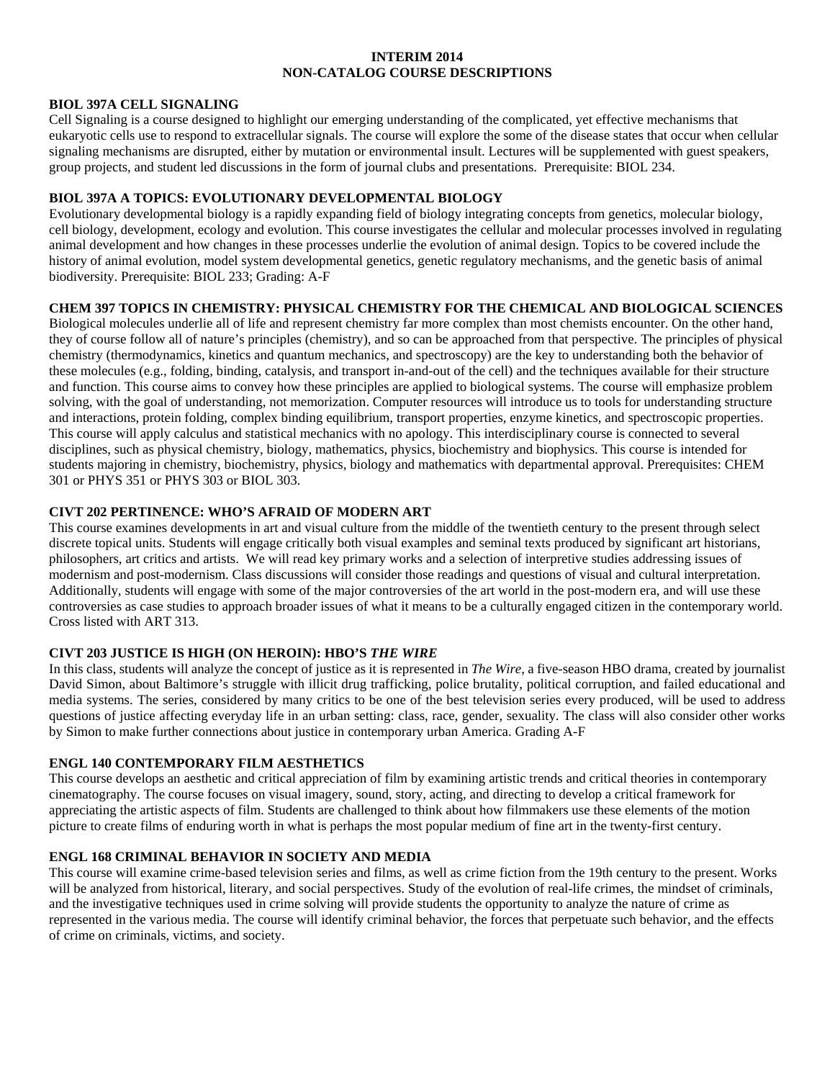## **INTERIM 2014 NON-CATALOG COURSE DESCRIPTIONS**

#### **BIOL 397A CELL SIGNALING**

Cell Signaling is a course designed to highlight our emerging understanding of the complicated, yet effective mechanisms that eukaryotic cells use to respond to extracellular signals. The course will explore the some of the disease states that occur when cellular signaling mechanisms are disrupted, either by mutation or environmental insult. Lectures will be supplemented with guest speakers, group projects, and student led discussions in the form of journal clubs and presentations. Prerequisite: BIOL 234.

## **BIOL 397A A TOPICS: EVOLUTIONARY DEVELOPMENTAL BIOLOGY**

Evolutionary developmental biology is a rapidly expanding field of biology integrating concepts from genetics, molecular biology, cell biology, development, ecology and evolution. This course investigates the cellular and molecular processes involved in regulating animal development and how changes in these processes underlie the evolution of animal design. Topics to be covered include the history of animal evolution, model system developmental genetics, genetic regulatory mechanisms, and the genetic basis of animal biodiversity. Prerequisite: BIOL 233; Grading: A-F

## **CHEM 397 TOPICS IN CHEMISTRY: PHYSICAL CHEMISTRY FOR THE CHEMICAL AND BIOLOGICAL SCIENCES**

Biological molecules underlie all of life and represent chemistry far more complex than most chemists encounter. On the other hand, they of course follow all of nature's principles (chemistry), and so can be approached from that perspective. The principles of physical chemistry (thermodynamics, kinetics and quantum mechanics, and spectroscopy) are the key to understanding both the behavior of these molecules (e.g., folding, binding, catalysis, and transport in-and-out of the cell) and the techniques available for their structure and function. This course aims to convey how these principles are applied to biological systems. The course will emphasize problem solving, with the goal of understanding, not memorization. Computer resources will introduce us to tools for understanding structure and interactions, protein folding, complex binding equilibrium, transport properties, enzyme kinetics, and spectroscopic properties. This course will apply calculus and statistical mechanics with no apology. This interdisciplinary course is connected to several disciplines, such as physical chemistry, biology, mathematics, physics, biochemistry and biophysics. This course is intended for students majoring in chemistry, biochemistry, physics, biology and mathematics with departmental approval. Prerequisites: CHEM 301 or PHYS 351 or PHYS 303 or BIOL 303.

#### **CIVT 202 PERTINENCE: WHO'S AFRAID OF MODERN ART**

This course examines developments in art and visual culture from the middle of the twentieth century to the present through select discrete topical units. Students will engage critically both visual examples and seminal texts produced by significant art historians, philosophers, art critics and artists. We will read key primary works and a selection of interpretive studies addressing issues of modernism and post-modernism. Class discussions will consider those readings and questions of visual and cultural interpretation. Additionally, students will engage with some of the major controversies of the art world in the post-modern era, and will use these controversies as case studies to approach broader issues of what it means to be a culturally engaged citizen in the contemporary world. Cross listed with ART 313.

## **CIVT 203 JUSTICE IS HIGH (ON HEROIN): HBO'S** *THE WIRE*

In this class, students will analyze the concept of justice as it is represented in *The Wire*, a five-season HBO drama, created by journalist David Simon, about Baltimore's struggle with illicit drug trafficking, police brutality, political corruption, and failed educational and media systems. The series, considered by many critics to be one of the best television series every produced, will be used to address questions of justice affecting everyday life in an urban setting: class, race, gender, sexuality. The class will also consider other works by Simon to make further connections about justice in contemporary urban America. Grading A-F

#### **ENGL 140 CONTEMPORARY FILM AESTHETICS**

This course develops an aesthetic and critical appreciation of film by examining artistic trends and critical theories in contemporary cinematography. The course focuses on visual imagery, sound, story, acting, and directing to develop a critical framework for appreciating the artistic aspects of film. Students are challenged to think about how filmmakers use these elements of the motion picture to create films of enduring worth in what is perhaps the most popular medium of fine art in the twenty-first century.

## **ENGL 168 CRIMINAL BEHAVIOR IN SOCIETY AND MEDIA**

This course will examine crime-based television series and films, as well as crime fiction from the 19th century to the present. Works will be analyzed from historical, literary, and social perspectives. Study of the evolution of real-life crimes, the mindset of criminals, and the investigative techniques used in crime solving will provide students the opportunity to analyze the nature of crime as represented in the various media. The course will identify criminal behavior, the forces that perpetuate such behavior, and the effects of crime on criminals, victims, and society.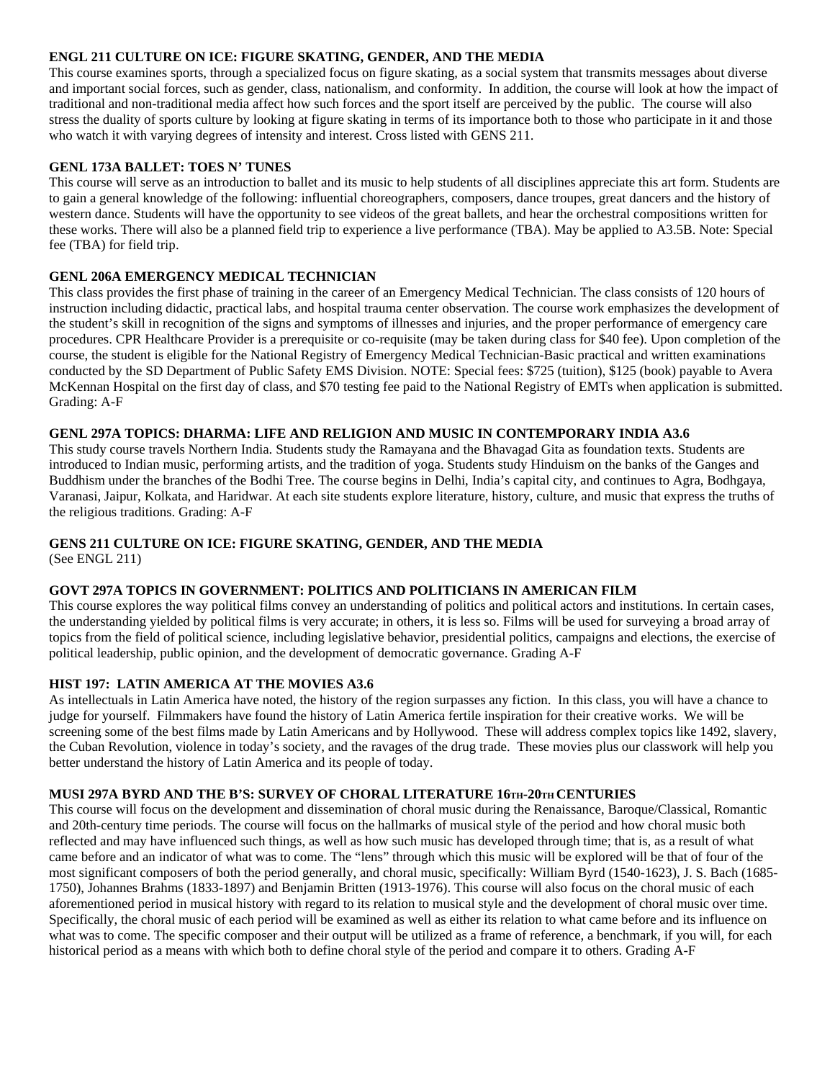## **ENGL 211 CULTURE ON ICE: FIGURE SKATING, GENDER, AND THE MEDIA**

This course examines sports, through a specialized focus on figure skating, as a social system that transmits messages about diverse and important social forces, such as gender, class, nationalism, and conformity. In addition, the course will look at how the impact of traditional and non-traditional media affect how such forces and the sport itself are perceived by the public. The course will also stress the duality of sports culture by looking at figure skating in terms of its importance both to those who participate in it and those who watch it with varying degrees of intensity and interest. Cross listed with GENS 211.

## **GENL 173A BALLET: TOES N' TUNES**

This course will serve as an introduction to ballet and its music to help students of all disciplines appreciate this art form. Students are to gain a general knowledge of the following: influential choreographers, composers, dance troupes, great dancers and the history of western dance. Students will have the opportunity to see videos of the great ballets, and hear the orchestral compositions written for these works. There will also be a planned field trip to experience a live performance (TBA). May be applied to A3.5B. Note: Special fee (TBA) for field trip.

## **GENL 206A EMERGENCY MEDICAL TECHNICIAN**

This class provides the first phase of training in the career of an Emergency Medical Technician. The class consists of 120 hours of instruction including didactic, practical labs, and hospital trauma center observation. The course work emphasizes the development of the student's skill in recognition of the signs and symptoms of illnesses and injuries, and the proper performance of emergency care procedures. CPR Healthcare Provider is a prerequisite or co-requisite (may be taken during class for \$40 fee). Upon completion of the course, the student is eligible for the National Registry of Emergency Medical Technician-Basic practical and written examinations conducted by the SD Department of Public Safety EMS Division. NOTE: Special fees: \$725 (tuition), \$125 (book) payable to Avera McKennan Hospital on the first day of class, and \$70 testing fee paid to the National Registry of EMTs when application is submitted. Grading: A-F

## **GENL 297A TOPICS: DHARMA: LIFE AND RELIGION AND MUSIC IN CONTEMPORARY INDIA A3.6**

This study course travels Northern India. Students study the Ramayana and the Bhavagad Gita as foundation texts. Students are introduced to Indian music, performing artists, and the tradition of yoga. Students study Hinduism on the banks of the Ganges and Buddhism under the branches of the Bodhi Tree. The course begins in Delhi, India's capital city, and continues to Agra, Bodhgaya, Varanasi, Jaipur, Kolkata, and Haridwar. At each site students explore literature, history, culture, and music that express the truths of the religious traditions. Grading: A-F

# **GENS 211 CULTURE ON ICE: FIGURE SKATING, GENDER, AND THE MEDIA**

(See ENGL 211)

## **GOVT 297A TOPICS IN GOVERNMENT: POLITICS AND POLITICIANS IN AMERICAN FILM**

This course explores the way political films convey an understanding of politics and political actors and institutions. In certain cases, the understanding yielded by political films is very accurate; in others, it is less so. Films will be used for surveying a broad array of topics from the field of political science, including legislative behavior, presidential politics, campaigns and elections, the exercise of political leadership, public opinion, and the development of democratic governance. Grading A-F

## **HIST 197: LATIN AMERICA AT THE MOVIES A3.6**

As intellectuals in Latin America have noted, the history of the region surpasses any fiction. In this class, you will have a chance to judge for yourself. Filmmakers have found the history of Latin America fertile inspiration for their creative works. We will be screening some of the best films made by Latin Americans and by Hollywood. These will address complex topics like 1492, slavery, the Cuban Revolution, violence in today's society, and the ravages of the drug trade. These movies plus our classwork will help you better understand the history of Latin America and its people of today.

## **MUSI 297A BYRD AND THE B'S: SURVEY OF CHORAL LITERATURE 16TH-20TH CENTURIES**

This course will focus on the development and dissemination of choral music during the Renaissance, Baroque/Classical, Romantic and 20th-century time periods. The course will focus on the hallmarks of musical style of the period and how choral music both reflected and may have influenced such things, as well as how such music has developed through time; that is, as a result of what came before and an indicator of what was to come. The "lens" through which this music will be explored will be that of four of the most significant composers of both the period generally, and choral music, specifically: William Byrd (1540-1623), J. S. Bach (1685- 1750), Johannes Brahms (1833-1897) and Benjamin Britten (1913-1976). This course will also focus on the choral music of each aforementioned period in musical history with regard to its relation to musical style and the development of choral music over time. Specifically, the choral music of each period will be examined as well as either its relation to what came before and its influence on what was to come. The specific composer and their output will be utilized as a frame of reference, a benchmark, if you will, for each historical period as a means with which both to define choral style of the period and compare it to others. Grading A-F